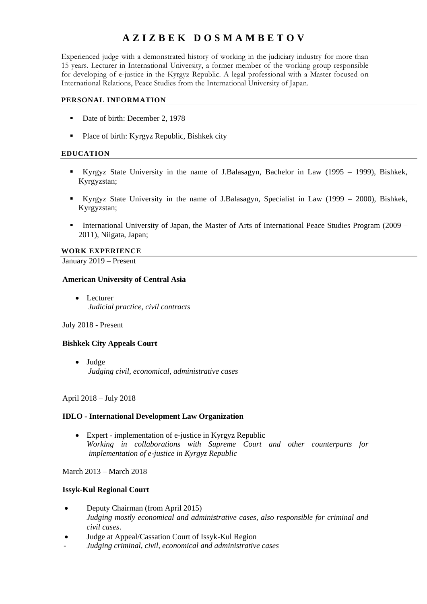# **A Z I Z BEK D O S M A M B E T O V**

Experienced judge with a demonstrated history of working in the judiciary industry for more than 15 years. Lecturer in International University, a former member of the working group responsible for developing of e-justice in the Kyrgyz Republic. A legal professional with a Master focused on International Relations, Peace Studies from the International University of Japan.

## **PERSONAL INFORMATION**

- Date of birth: December 2, 1978
- **Place of birth: Kyrgyz Republic, Bishkek city**

## **EDUCATION**

- Kyrgyz State University in the name of J.Balasagyn, Bachelor in Law (1995 1999), Bishkek, Kyrgyzstan;
- Kyrgyz State University in the name of J.Balasagyn, Specialist in Law (1999 2000), Bishkek, Kyrgyzstan;
- International University of Japan, the Master of Arts of International Peace Studies Program (2009 2011), Niigata, Japan;

#### **WORK EXPERIENCE**

January 2019 – Present

#### **American University of Central Asia**

• Lecturer *Judicial practice, civil contracts*

## July 2018 - Present

## **Bishkek City Appeals Court**

 Judge *Judging civil, economical, administrative cases*

## April 2018 – July 2018

## **IDLO - International Development Law Organization**

 Expert - implementation of e-justice in Kyrgyz Republic *Working in collaborations with Supreme Court and other counterparts for implementation of e-justice in Kyrgyz Republic*

March 2013 – March 2018

## **Issyk-Kul Regional Court**

- Deputy Chairman (from April 2015) *Judging mostly economical and administrative cases, also responsible for criminal and civil cases*.
- Judge at Appeal/Cassation Court of Issyk-Kul Region
- *Judging criminal, civil, economical and administrative cases*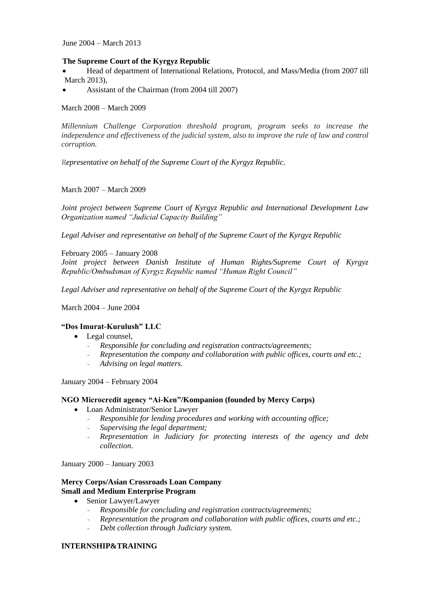June 2004 – March 2013

## **The Supreme Court of the Kyrgyz Republic**

 Head of department of International Relations, Protocol, and Mass/Media (from 2007 till March 2013),

Assistant of the Chairman (from 2004 till 2007)

## March 2008 – March 2009

*Millennium Challenge Corporation threshold program, program seeks to increase the independence and effectiveness of the judicial system, also to improve the rule of law and control corruption.*

*Representative on behalf of the Supreme Court of the Kyrgyz Republic.* 

## March 2007 – March 2009

*Joint project between Supreme Court of Kyrgyz Republic and International Development Law Organization named "Judicial Capacity Building"*

*Legal Adviser and representative on behalf of the Supreme Court of the Kyrgyz Republic*

February 2005 – January 2008

Joint project between Danish Institute of Human Rights/Supreme Court of Kyrgyz *Republic/Ombudsman of Kyrgyz Republic named "Human Right Council"*

*Legal Adviser and representative on behalf of the Supreme Court of the Kyrgyz Republic*

March 2004 – June 2004

## **"Dos Imurat-Kurulush" LLC**

- Legal counsel,
	- *Responsible for concluding and registration contracts/agreements;*
	- *Representation the company and collaboration with public offices, courts and etc.;*
	- *Advising on legal matters.*

January 2004 – February 2004

## **NGO Microcredit agency "Ai-Ken"/Kompanion (founded by Mercy Corps)**

- Loan Administrator/Senior Lawyer
	- *Responsible for lending procedures and working with accounting office;*
	- *Supervising the legal department;*
	- *Representation in Judiciary for protecting interests of the agency and debt collection*.

January 2000 – January 2003

#### **Mercy Corps/Asian Crossroads Loan Company Small and Medium Enterprise Program**

- Senior Lawyer/Lawyer
	- *Responsible for concluding and registration contracts/agreements;*
	- *Representation the program and collaboration with public offices, courts and etc.;*
	- *Debt collection through Judiciary system.*

## **INTERNSHIP&TRAINING**